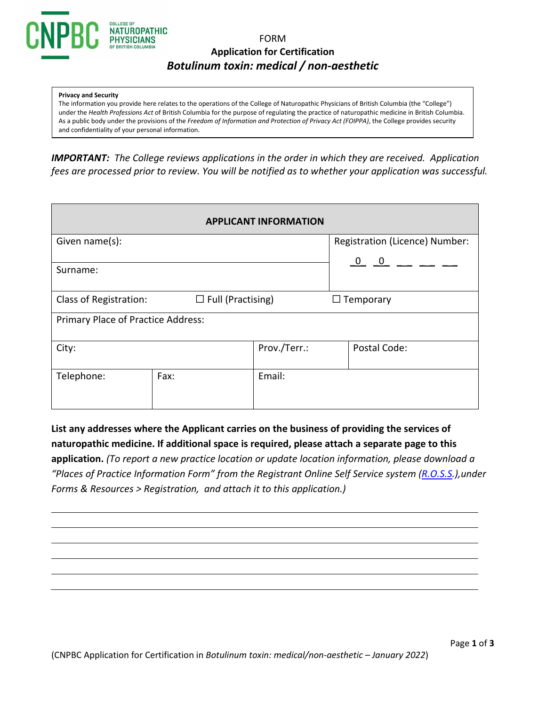

# FORM **Application for Certification** *Botulinum toxin: medical / non-aesthetic*

#### **Privacy and Security**

The information you provide here relates to the operations of the College of Naturopathic Physicians of British Columbia (the "College") under the *Health Professions Act* of British Columbia for the purpose of regulating the practice of naturopathic medicine in British Columbia. As a public body under the provisions of the *Freedom of Information and Protection of Privacy Act (FOIPPA)*, the College provides security and confidentiality of your personal information.

*IMPORTANT: The College reviews applications in the order in which they are received. Application fees are processed prior to review. You will be notified as to whether your application was successful.* 

| <b>APPLICANT INFORMATION</b>                       |      |              |                                |  |  |
|----------------------------------------------------|------|--------------|--------------------------------|--|--|
| Given name(s):                                     |      |              | Registration (Licence) Number: |  |  |
| Surname:                                           |      |              |                                |  |  |
|                                                    |      |              |                                |  |  |
| $\Box$ Full (Practising)<br>Class of Registration: |      |              | $\Box$ Temporary               |  |  |
| Primary Place of Practice Address:                 |      |              |                                |  |  |
| City:                                              |      | Prov./Terr.: | Postal Code:                   |  |  |
| Telephone:                                         | Fax: | Email:       |                                |  |  |

**List any addresses where the Applicant carries on the business of providing the services of naturopathic medicine. If additional space is required, please attach a separate page to this application.** *(To report a new practice location or update location information, please download a "Places of Practice Information Form" from the Registrant Online Self Service system [\(R.O.S.S.](https://cnpbc.ca.thentiacloud.net/webs/cnpbc/service/)),under Forms & Resources > Registration, and attach it to this application.)*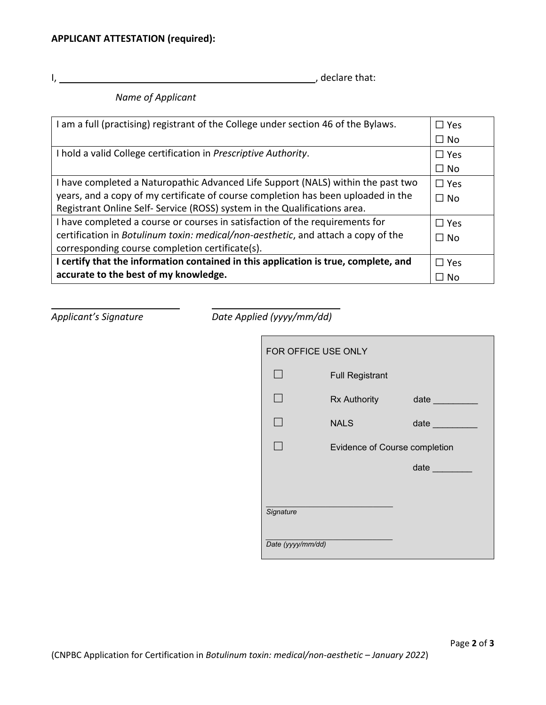I, , declare that:

*Name of Applicant*

| I am a full (practising) registrant of the College under section 46 of the Bylaws.        | $\Box$ Yes |  |
|-------------------------------------------------------------------------------------------|------------|--|
|                                                                                           | $\Box$ No  |  |
| I hold a valid College certification in Prescriptive Authority.                           | $\Box$ Yes |  |
|                                                                                           | $\Box$ No  |  |
| I have completed a Naturopathic Advanced Life Support (NALS) within the past two          | $\Box$ Yes |  |
| years, and a copy of my certificate of course completion has been uploaded in the         |            |  |
| Registrant Online Self- Service (ROSS) system in the Qualifications area.                 |            |  |
| I have completed a course or courses in satisfaction of the requirements for              | $\Box$ Yes |  |
| certification in <i>Botulinum toxin: medical/non-aesthetic</i> , and attach a copy of the | $\Box$ No  |  |
| corresponding course completion certificate(s).                                           |            |  |
| I certify that the information contained in this application is true, complete, and       |            |  |
| accurate to the best of my knowledge.                                                     |            |  |

*Applicant's Signature Date Applied (yyyy/mm/dd)*

| FOR OFFICE USE ONLY |                               |                                 |  |  |
|---------------------|-------------------------------|---------------------------------|--|--|
|                     | <b>Full Registrant</b>        |                                 |  |  |
|                     | Rx Authority                  | date <b>date</b>                |  |  |
|                     | <b>NALS</b>                   | date and the state of the state |  |  |
|                     | Evidence of Course completion |                                 |  |  |
|                     |                               | date and the state of the state |  |  |
| Signature           |                               |                                 |  |  |
| Date (yyyy/mm/dd)   |                               |                                 |  |  |